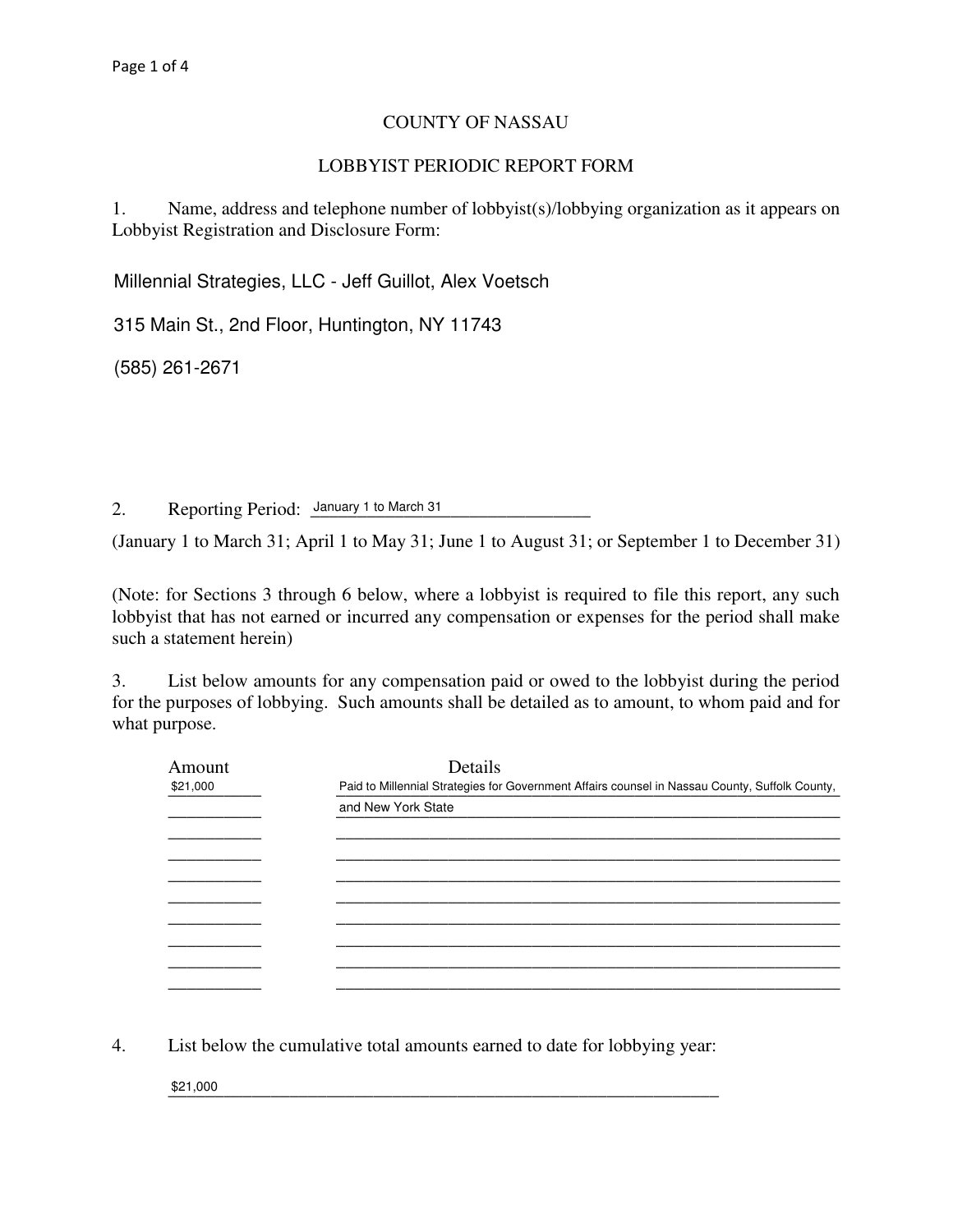## COUNTY OF NASSAU

## LOBBYIST PERIODIC REPORT FORM

1. Name, address and telephone number of lobbyist(s)/lobbying organization as it appears on Lobbyist Registration and Disclosure Form:

Millennial Strategies, LLC - Jeff Guillot, Alex Voetsch

315 Main St., 2nd Floor, Huntington, NY 11743

\_\_\_\_\_\_\_\_\_\_\_\_\_\_\_\_\_\_\_\_\_\_\_\_\_\_\_\_\_\_\_\_\_\_\_\_\_\_\_\_\_\_\_\_\_\_\_\_\_\_\_\_\_\_\_\_\_\_\_\_\_\_\_\_\_\_\_\_\_\_\_\_\_\_\_\_\_\_ (585) 261-2671

2. Reporting Period: January 1 to March 31

(January 1 to March 31; April 1 to May 31; June 1 to August 31; or September 1 to December 31)

(Note: for Sections 3 through 6 below, where a lobbyist is required to file this report, any such lobbyist that has not earned or incurred any compensation or expenses for the period shall make such a statement herein)

3. List below amounts for any compensation paid or owed to the lobbyist during the period for the purposes of lobbying. Such amounts shall be detailed as to amount, to whom paid and for what purpose.

| Amount   | Details                                                                                        |  |  |  |
|----------|------------------------------------------------------------------------------------------------|--|--|--|
| \$21,000 | Paid to Millennial Strategies for Government Affairs counsel in Nassau County, Suffolk County, |  |  |  |
|          | and New York State                                                                             |  |  |  |
|          |                                                                                                |  |  |  |
|          |                                                                                                |  |  |  |
|          |                                                                                                |  |  |  |
|          |                                                                                                |  |  |  |
|          |                                                                                                |  |  |  |
|          |                                                                                                |  |  |  |
|          |                                                                                                |  |  |  |
|          |                                                                                                |  |  |  |

4. List below the cumulative total amounts earned to date for lobbying year:

 $\frac{$21,000}{}$ \$21,000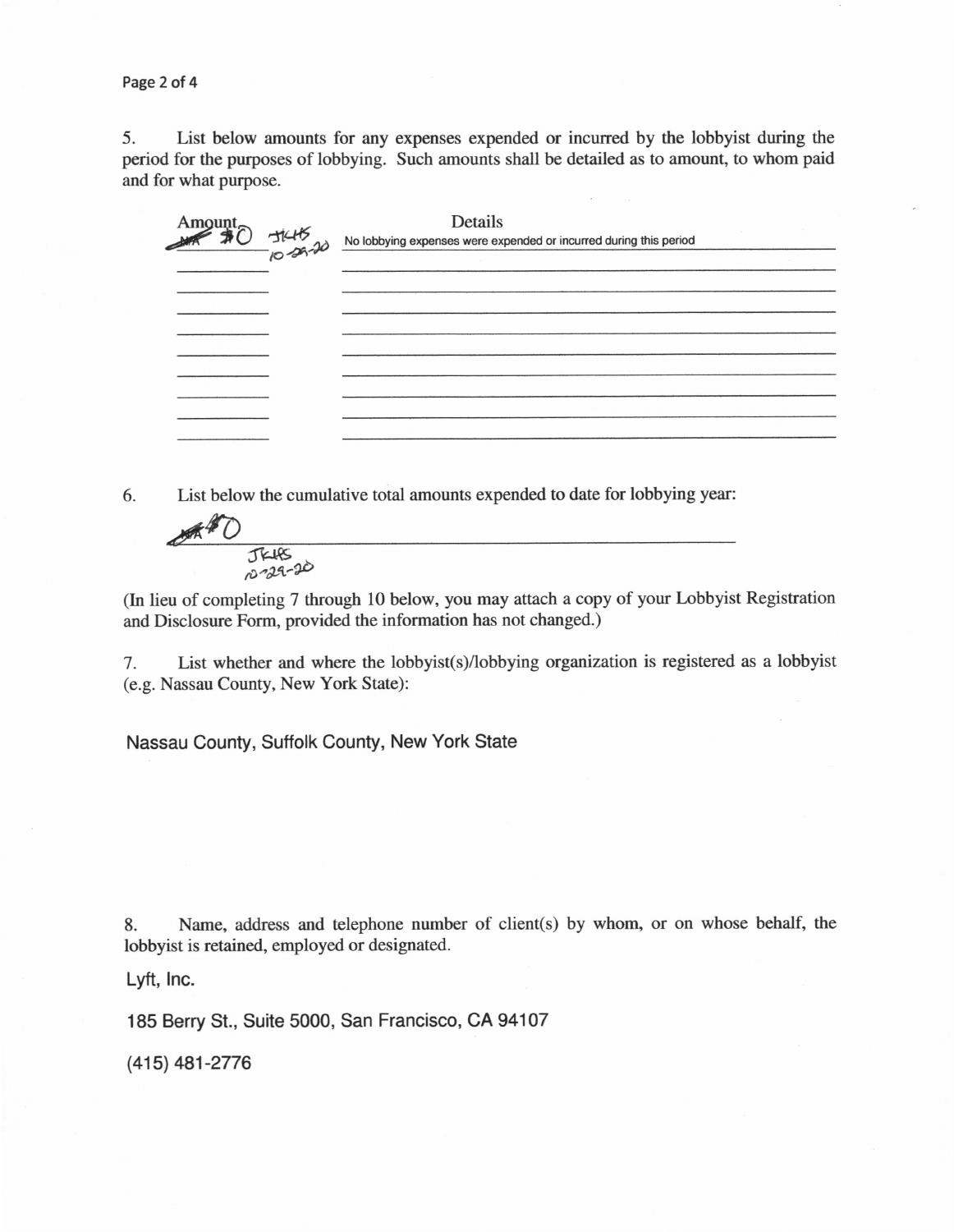Page 2 of 4

5. List below amounts for any expenses expended or incurred by the lobbyist during the period for the purposes of lobbying. Such amounts shall be detailed as to amount, to whom paid and for what purpose.

|  | Details<br>$\overrightarrow{36}$<br>$\overrightarrow{16}$<br>$\overrightarrow{16}$<br>$\overrightarrow{26}$<br>No lobbying expenses were expended or incurred during this period |  |
|--|----------------------------------------------------------------------------------------------------------------------------------------------------------------------------------|--|
|  |                                                                                                                                                                                  |  |
|  |                                                                                                                                                                                  |  |
|  |                                                                                                                                                                                  |  |
|  |                                                                                                                                                                                  |  |
|  |                                                                                                                                                                                  |  |
|  |                                                                                                                                                                                  |  |
|  |                                                                                                                                                                                  |  |
|  |                                                                                                                                                                                  |  |
|  |                                                                                                                                                                                  |  |
|  |                                                                                                                                                                                  |  |

6. List below the cumulative total amounts expended to date for lobbying year:



(In lieu of completing 7 through 10 below, you may attach a copy of your Lobbyist Registration and Disclosure Form, provided the information has not changed.)

7. List whether and where the lobbyist(s)/lobbying organization is registered as a lobbyist (e.g. Nassau County, New York State):

Nassau County, Suffolk County, New York State

8. Name, address and telephone number of client(s) by whom, or on whose behalf, the lobbyist is retained, employed or designated.

Lyft, Inc.

185 Berry St., Suite 5000, San Francisco, CA 94107

(415) 481-2776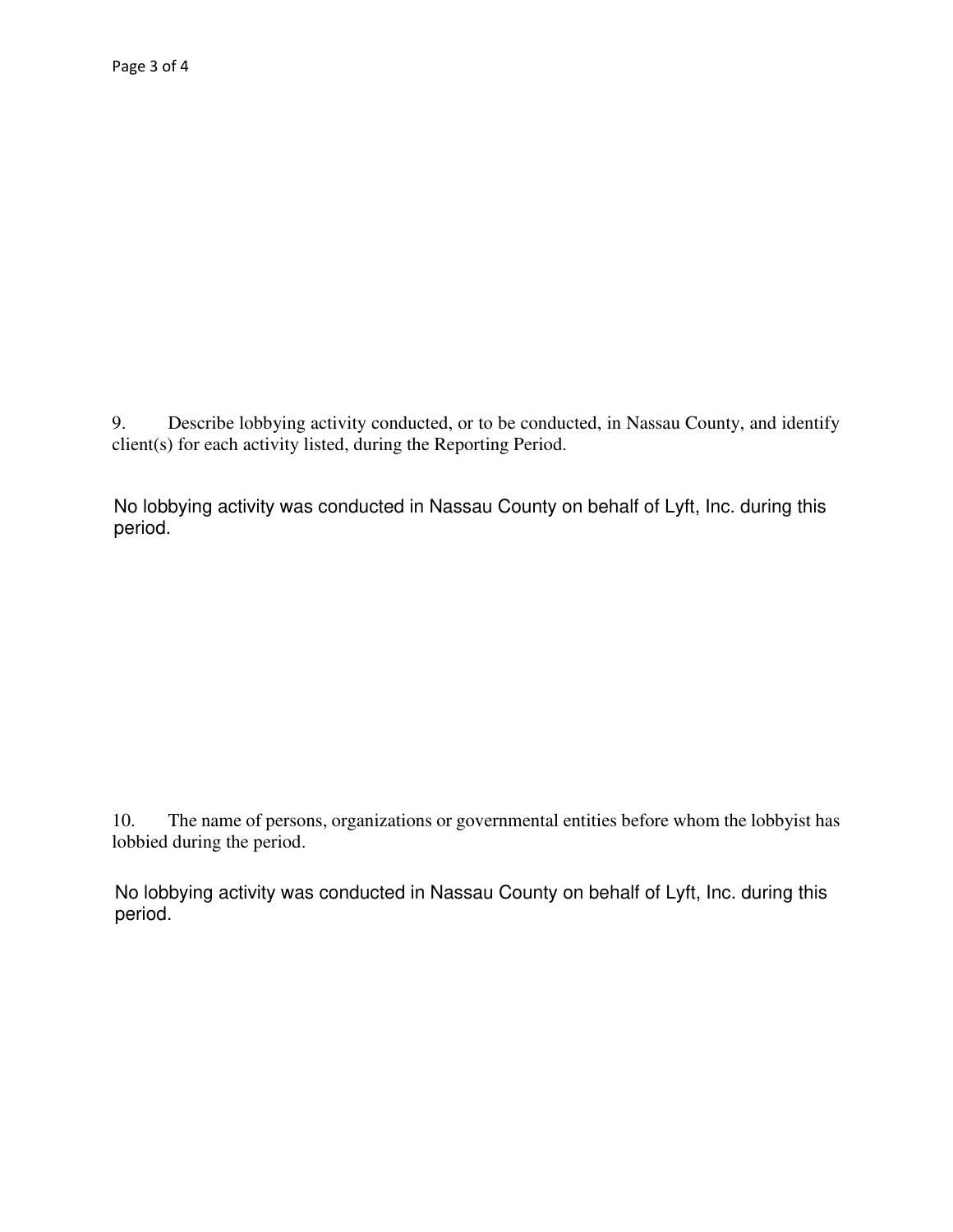Describe lobbying activity conducted, or to be conducted, in Nassau County, and identify 9.  $client(s)$  for each activity listed, during the Reporting Period.

No lobbying activity was conducted in Nassau County on behalf of Lyft, Inc. during this period.

The name of persons, organizations or governmental entities before whom the lobbyist has 10. lobbied during the period.

No lobbying activity was conducted in Nassau County on behalf of Lyft, Inc. during this period.